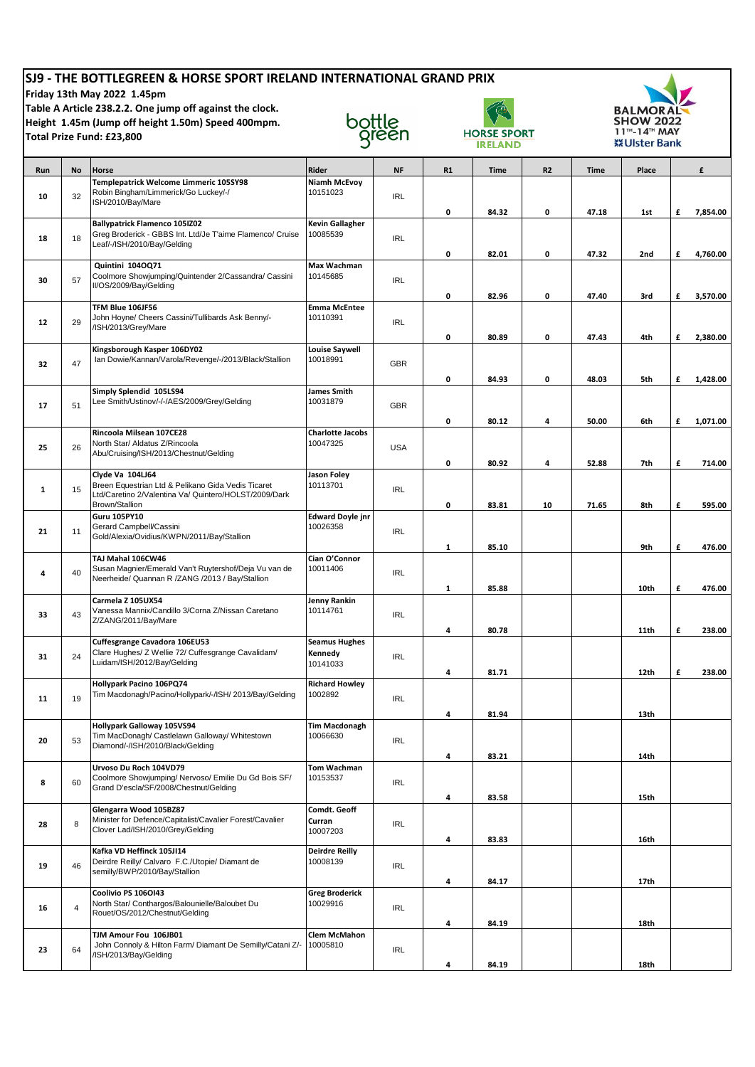| SJ9 - THE BOTTLEGREEN & HORSE SPORT IRELAND INTERNATIONAL GRAND PRIX<br>Friday 13th May 2022 1.45pm<br>Table A Article 238.2.2. One jump off against the clock.<br>Height 1.45m (Jump off height 1.50m) Speed 400mpm.<br>Total Prize Fund: £23,800 |    |                                                                                                                                                   | bottle<br>green                             |            | <b>HORSE SPORT</b><br><b>IRELAND</b> |       |    | <b>BALMORAL</b><br><b>SHOW 2022</b><br>11 <sup>™</sup> -14™ MAY<br>※ Ulster Bank |       |   |          |
|----------------------------------------------------------------------------------------------------------------------------------------------------------------------------------------------------------------------------------------------------|----|---------------------------------------------------------------------------------------------------------------------------------------------------|---------------------------------------------|------------|--------------------------------------|-------|----|----------------------------------------------------------------------------------|-------|---|----------|
| Run                                                                                                                                                                                                                                                | No | Horse                                                                                                                                             | Rider                                       | <b>NF</b>  | R1                                   | Time  | R2 | <b>Time</b>                                                                      | Place |   | £        |
| 10                                                                                                                                                                                                                                                 | 32 | Templepatrick Welcome Limmeric 105SY98<br>Robin Bingham/Limmerick/Go Luckey/-/<br>ISH/2010/Bay/Mare                                               | Niamh McEvoy<br>10151023                    | <b>IRL</b> | 0                                    | 84.32 | 0  | 47.18                                                                            | 1st   | £ | 7,854.00 |
| 18                                                                                                                                                                                                                                                 | 18 | <b>Ballypatrick Flamenco 105IZ02</b><br>Greg Broderick - GBBS Int. Ltd/Je T'aime Flamenco/ Cruise<br>Leaf/-/ISH/2010/Bay/Gelding                  | Kevin Gallagher<br>10085539                 | <b>IRL</b> | 0                                    | 82.01 | 0  | 47.32                                                                            | 2nd   | £ | 4,760.00 |
| 30                                                                                                                                                                                                                                                 | 57 | Quintini 104OQ71<br>Coolmore Showjumping/Quintender 2/Cassandra/ Cassini<br>II/OS/2009/Bay/Gelding                                                | Max Wachman<br>10145685                     | <b>IRL</b> | 0                                    | 82.96 | 0  | 47.40                                                                            | 3rd   | £ | 3,570.00 |
| 12                                                                                                                                                                                                                                                 | 29 | TFM Blue 106JF56<br>John Hoyne/ Cheers Cassini/Tullibards Ask Benny/-<br>/ISH/2013/Grey/Mare                                                      | <b>Emma McEntee</b><br>10110391             | <b>IRL</b> | 0                                    | 80.89 | 0  | 47.43                                                                            | 4th   | £ | 2,380.00 |
| 32                                                                                                                                                                                                                                                 | 47 | Kingsborough Kasper 106DY02<br>Ian Dowie/Kannan/Varola/Revenge/-/2013/Black/Stallion                                                              | <b>Louise Saywell</b><br>10018991           | <b>GBR</b> | 0                                    | 84.93 | 0  | 48.03                                                                            | 5th   | £ | 1,428.00 |
| 17                                                                                                                                                                                                                                                 | 51 | Simply Splendid 105LS94<br>Lee Smith/Ustinov/-/-/AES/2009/Grey/Gelding                                                                            | <b>James Smith</b><br>10031879              | <b>GBR</b> | 0                                    | 80.12 | 4  | 50.00                                                                            | 6th   | £ | 1,071.00 |
| 25                                                                                                                                                                                                                                                 | 26 | Rincoola Milsean 107CE28<br>North Star/ Aldatus Z/Rincoola<br>Abu/Cruising/ISH/2013/Chestnut/Gelding                                              | <b>Charlotte Jacobs</b><br>10047325         | <b>USA</b> | 0                                    | 80.92 | 4  | 52.88                                                                            | 7th   | £ | 714.00   |
| $\mathbf{1}$                                                                                                                                                                                                                                       | 15 | Clyde Va 104LJ64<br>Breen Equestrian Ltd & Pelikano Gida Vedis Ticaret<br>Ltd/Caretino 2/Valentina Va/ Quintero/HOLST/2009/Dark<br>Brown/Stallion | <b>Jason Foley</b><br>10113701              | <b>IRL</b> | 0                                    | 83.81 | 10 | 71.65                                                                            | 8th   | £ | 595.00   |
| 21                                                                                                                                                                                                                                                 | 11 | <b>Guru 105PY10</b><br>Gerard Campbell/Cassini<br>Gold/Alexia/Ovidius/KWPN/2011/Bay/Stallion                                                      | <b>Edward Doyle jnr</b><br>10026358         | <b>IRL</b> | 1                                    | 85.10 |    |                                                                                  | 9th   | £ | 476.00   |
| 4                                                                                                                                                                                                                                                  | 40 | TAJ Mahal 106CW46<br>Susan Magnier/Emerald Van't Ruytershof/Deja Vu van de<br>Neerheide/ Quannan R /ZANG /2013 / Bay/Stallion                     | Cian O'Connor<br>10011406                   | <b>IRL</b> | $\mathbf{1}$                         | 85.88 |    |                                                                                  | 10th  | £ | 476.00   |
| 33                                                                                                                                                                                                                                                 | 43 | Carmela Z 105UX54<br>Vanessa Mannix/Candillo 3/Corna Z/Nissan Caretano<br>Z/ZANG/2011/Bay/Mare                                                    | Jenny Rankin<br>10114761                    | <b>IRL</b> | 4                                    | 80.78 |    |                                                                                  | 11th  | £ | 238.00   |
| 31                                                                                                                                                                                                                                                 | 24 | Cuffesgrange Cavadora 106EU53<br>Clare Hughes/ Z Wellie 72/ Cuffesgrange Cavalidam/<br>Luidam/ISH/2012/Bay/Gelding                                | <b>Seamus Hughes</b><br>Kennedy<br>10141033 | <b>IRL</b> | 4                                    | 81.71 |    |                                                                                  | 12th  | £ | 238.00   |
| 11                                                                                                                                                                                                                                                 | 19 | Hollypark Pacino 106PQ74<br>Tim Macdonagh/Pacino/Hollypark/-/ISH/ 2013/Bay/Gelding                                                                | <b>Richard Howley</b><br>1002892            | <b>IRL</b> | 4                                    | 81.94 |    |                                                                                  | 13th  |   |          |
| 20                                                                                                                                                                                                                                                 | 53 | Hollypark Galloway 105VS94<br>Tim MacDonagh/ Castlelawn Galloway/ Whitestown<br>Diamond/-/ISH/2010/Black/Gelding                                  | <b>Tim Macdonagh</b><br>10066630            | <b>IRL</b> | 4                                    | 83.21 |    |                                                                                  | 14th  |   |          |
| 8                                                                                                                                                                                                                                                  | 60 | Urvoso Du Roch 104VD79<br>Coolmore Showjumping/ Nervoso/ Emilie Du Gd Bois SF/<br>Grand D'escla/SF/2008/Chestnut/Gelding                          | Tom Wachman<br>10153537                     | <b>IRL</b> | 4                                    | 83.58 |    |                                                                                  | 15th  |   |          |
| 28                                                                                                                                                                                                                                                 | 8  | Glengarra Wood 105BZ87<br>Minister for Defence/Capitalist/Cavalier Forest/Cavalier<br>Clover Lad/ISH/2010/Grey/Gelding                            | Comdt. Geoff<br>Curran<br>10007203          | <b>IRL</b> | 4                                    | 83.83 |    |                                                                                  | 16th  |   |          |
| 19                                                                                                                                                                                                                                                 | 46 | Kafka VD Heffinck 105JI14<br>Deirdre Reilly/ Calvaro F.C./Utopie/ Diamant de<br>semilly/BWP/2010/Bay/Stallion                                     | <b>Deirdre Reilly</b><br>10008139           | <b>IRL</b> | 4                                    | 84.17 |    |                                                                                  | 17th  |   |          |
| 16                                                                                                                                                                                                                                                 | 4  | Coolivio PS 106OI43<br>North Star/ Conthargos/Balounielle/Baloubet Du<br>Rouet/OS/2012/Chestnut/Gelding                                           | <b>Greg Broderick</b><br>10029916           | <b>IRL</b> | 4                                    | 84.19 |    |                                                                                  | 18th  |   |          |
| 23                                                                                                                                                                                                                                                 | 64 | TJM Amour Fou 106JB01<br>John Connoly & Hilton Farm/ Diamant De Semilly/Catani Z/-<br>/ISH/2013/Bay/Gelding                                       | <b>Clem McMahon</b><br>10005810             | <b>IRL</b> |                                      |       |    |                                                                                  |       |   |          |
|                                                                                                                                                                                                                                                    |    |                                                                                                                                                   |                                             |            | 4                                    | 84.19 |    |                                                                                  | 18th  |   |          |